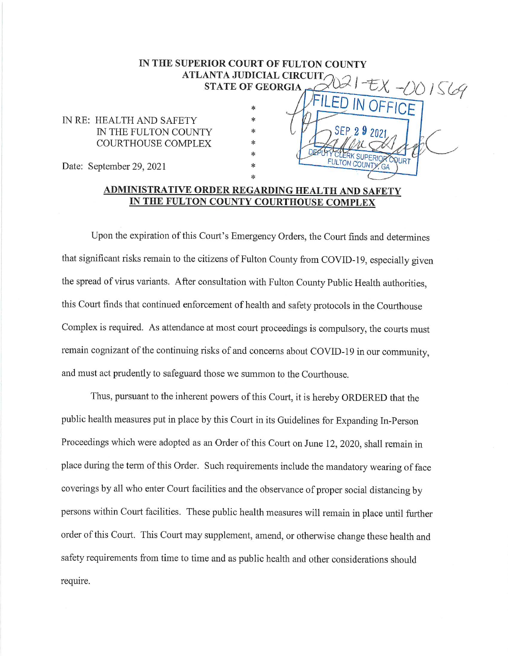## IN THE SUPERIOR COURT OF FULTON COUNTY ATLANTA JUDICIAL CIRCUIT,  $\frac{1}{20}$  | EX -00 1 S69 THEORY COUNTY

**RCQURT** 

 $G_A$ 

FULTON COUNTY

IN RE: HEALTH AND SAFETY IN THE FULTON COUNTY COURTHOUSE COMPLEX

Date: September 29, 2021

## ADMINISTRATIVE ORDER REGARDING HEALTH AND SAFETY IN THE FULTON COUNTY COURTHOUSE COMPLEX

\* \* \* \* \*

\*

Uponthe expiration of this Court's Emergency Orders, the Court finds and determines that significant risks remain to the citizens of Fulton County from COVID-19, especially given the spread of virus variants. After consultation with Fulton County Public Health authorities, this Court finds that continued enforcement of health and safety protocols in the Courthouse Complex is required. As attendance at most court proceedings is compulsory, the courts must remain cognizant of the continuing risks of and concerns about COVID-19 in our community, and must act prudently to safeguard those we summon to the Courthouse.

Thus, pursuant to the inherent powers of this Court, it is hereby ORDERED that the public health measures put in place by this Court in its Guidelines for Expanding In-Person Proceedings which were adopted as an Order of this Court on June 12, 2020, shall remain in place during the term of this Order. Such requirements include the mandatory wearing of face coverings by all who enter Court facilities and the observance of proper social distancing by persons within Court facilities. These public health measures will remain in place until further order of this Court. This Court may supplement, amend, or otherwise change these health and safety requirements from time to time and as public health and other considerations should require.